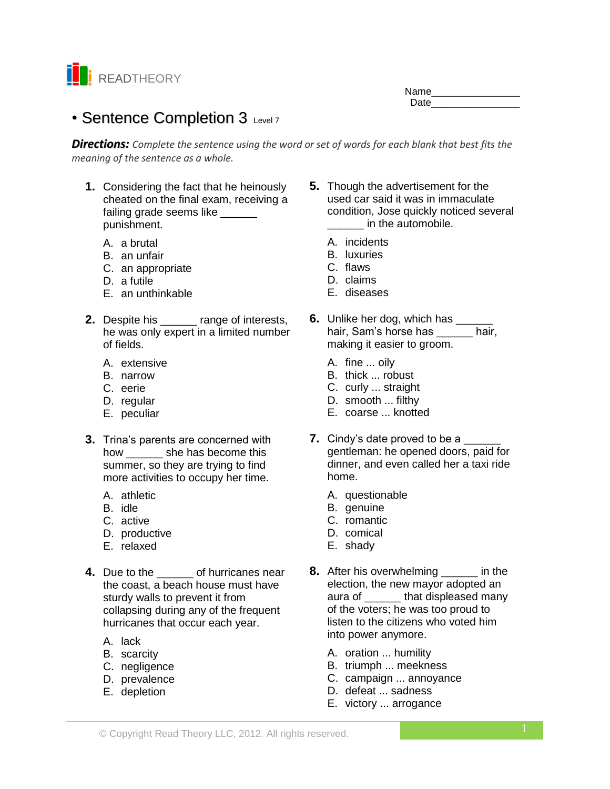

Name\_\_\_\_\_\_\_\_\_\_\_\_\_\_\_\_ Date **Date** 

# • Sentence Completion 3 Level 7

*Directions: Complete the sentence using the word or set of words for each blank that best fits the meaning of the sentence as a whole.*

- **1.** Considering the fact that he heinously cheated on the final exam, receiving a failing grade seems like punishment.
	- A. a brutal
	- B. an unfair
	- C. an appropriate
	- D. a futile
	- E. an unthinkable
- **2.** Despite his range of interests, he was only expert in a limited number of fields.
	- A. extensive
	- B. narrow
	- C. eerie
	- D. regular
	- E. peculiar
- **3.** Trina's parents are concerned with how \_\_\_\_\_\_ she has become this summer, so they are trying to find more activities to occupy her time.
	- A. athletic
	- B. idle
	- C. active
	- D. productive
	- E. relaxed
- **4.** Due to the **of hurricanes near** the coast, a beach house must have sturdy walls to prevent it from collapsing during any of the frequent hurricanes that occur each year.
	- A. lack
	- B. scarcity
	- C. negligence
	- D. prevalence
	- E. depletion
- **5.** Though the advertisement for the used car said it was in immaculate condition, Jose quickly noticed several \_\_\_\_\_\_ in the automobile.
	- A. incidents
	- B. luxuries
	- C. flaws
	- D. claims
	- E. diseases
- **6.** Unlike her dog, which has \_\_\_\_\_\_ hair, Sam's horse has \_\_\_\_\_\_ hair, making it easier to groom.
	- A. fine ... oily
	- B. thick ... robust
	- C. curly ... straight
	- D. smooth ... filthy
	- E. coarse ... knotted
- **7.** Cindy's date proved to be a gentleman: he opened doors, paid for dinner, and even called her a taxi ride home.
	- A. questionable
	- B. genuine
	- C. romantic
	- D. comical
	- E. shady
- **8.** After his overwhelming \_\_\_\_\_\_ in the election, the new mayor adopted an aura of \_\_\_\_\_\_ that displeased many of the voters; he was too proud to listen to the citizens who voted him into power anymore.
	- A. oration ... humility
	- B. triumph ... meekness
	- C. campaign ... annoyance
	- D. defeat ... sadness
	- E. victory ... arrogance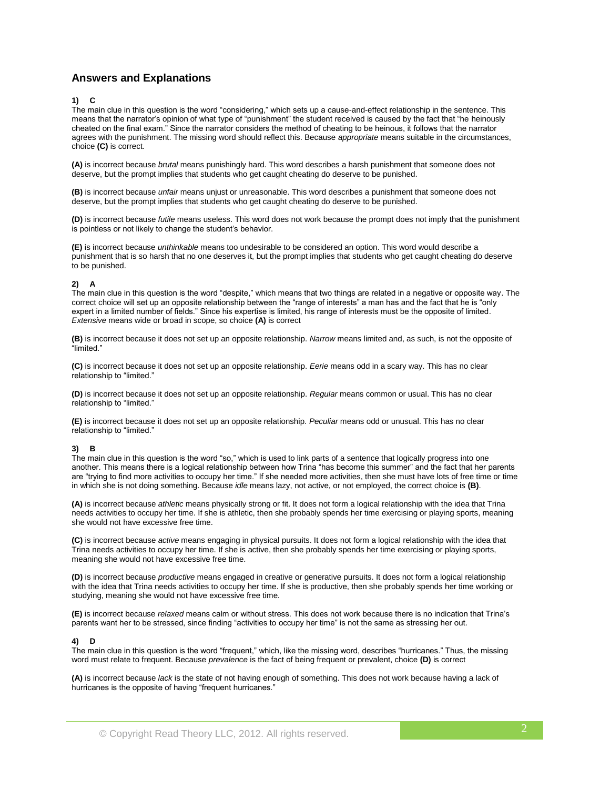# **Answers and Explanations**

# **1) C**

The main clue in this question is the word "considering," which sets up a cause-and-effect relationship in the sentence. This means that the narrator's opinion of what type of "punishment" the student received is caused by the fact that "he heinously cheated on the final exam." Since the narrator considers the method of cheating to be heinous, it follows that the narrator agrees with the punishment. The missing word should reflect this. Because *appropriate* means suitable in the circumstances, choice **(C)** is correct.

**(A)** is incorrect because *brutal* means punishingly hard. This word describes a harsh punishment that someone does not deserve, but the prompt implies that students who get caught cheating do deserve to be punished.

**(B)** is incorrect because *unfair* means unjust or unreasonable. This word describes a punishment that someone does not deserve, but the prompt implies that students who get caught cheating do deserve to be punished.

**(D)** is incorrect because *futile* means useless. This word does not work because the prompt does not imply that the punishment is pointless or not likely to change the student's behavior.

**(E)** is incorrect because *unthinkable* means too undesirable to be considered an option. This word would describe a punishment that is so harsh that no one deserves it, but the prompt implies that students who get caught cheating do deserve to be punished.

# **2) A**

The main clue in this question is the word "despite," which means that two things are related in a negative or opposite way. The correct choice will set up an opposite relationship between the "range of interests" a man has and the fact that he is "only expert in a limited number of fields." Since his expertise is limited, his range of interests must be the opposite of limited. *Extensive* means wide or broad in scope, so choice **(A)** is correct

**(B)** is incorrect because it does not set up an opposite relationship. *Narrow* means limited and, as such, is not the opposite of "limited."

**(C)** is incorrect because it does not set up an opposite relationship. *Eerie* means odd in a scary way. This has no clear relationship to "limited."

**(D)** is incorrect because it does not set up an opposite relationship. *Regular* means common or usual. This has no clear relationship to "limited."

**(E)** is incorrect because it does not set up an opposite relationship. *Peculiar* means odd or unusual. This has no clear relationship to "limited."

# **3) B**

The main clue in this question is the word "so," which is used to link parts of a sentence that logically progress into one another. This means there is a logical relationship between how Trina "has become this summer" and the fact that her parents are "trying to find more activities to occupy her time." If she needed more activities, then she must have lots of free time or time in which she is not doing something. Because *idle* means lazy, not active, or not employed, the correct choice is **(B)**.

**(A)** is incorrect because *athletic* means physically strong or fit. It does not form a logical relationship with the idea that Trina needs activities to occupy her time. If she is athletic, then she probably spends her time exercising or playing sports, meaning she would not have excessive free time.

**(C)** is incorrect because *active* means engaging in physical pursuits. It does not form a logical relationship with the idea that Trina needs activities to occupy her time. If she is active, then she probably spends her time exercising or playing sports, meaning she would not have excessive free time.

**(D)** is incorrect because *productive* means engaged in creative or generative pursuits. It does not form a logical relationship with the idea that Trina needs activities to occupy her time. If she is productive, then she probably spends her time working or studying, meaning she would not have excessive free time.

**(E)** is incorrect because *relaxed* means calm or without stress. This does not work because there is no indication that Trina's parents want her to be stressed, since finding "activities to occupy her time" is not the same as stressing her out.

#### **4) D**

The main clue in this question is the word "frequent," which, like the missing word, describes "hurricanes." Thus, the missing word must relate to frequent. Because *prevalence* is the fact of being frequent or prevalent, choice **(D)** is correct

**(A)** is incorrect because *lack* is the state of not having enough of something. This does not work because having a lack of hurricanes is the opposite of having "frequent hurricanes."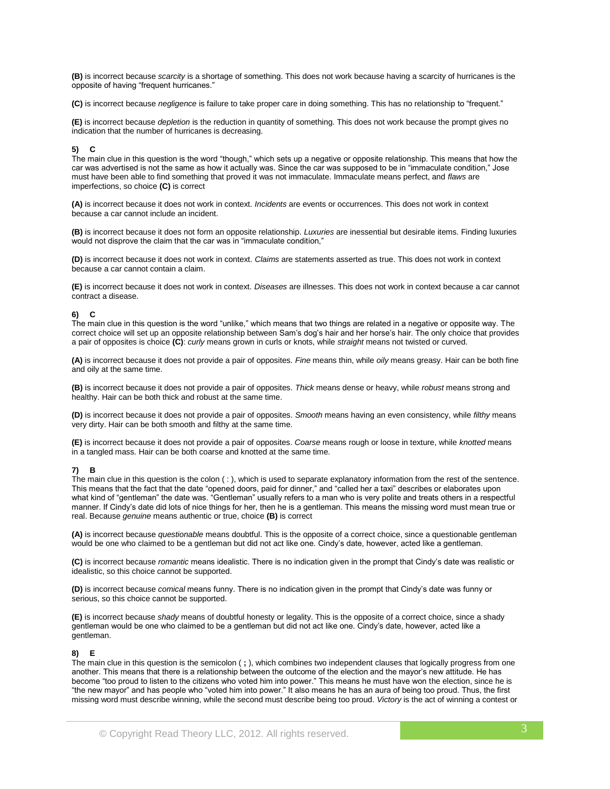**(B)** is incorrect because *scarcity* is a shortage of something. This does not work because having a scarcity of hurricanes is the opposite of having "frequent hurricanes."

**(C)** is incorrect because *negligence* is failure to take proper care in doing something. This has no relationship to "frequent."

**(E)** is incorrect because *depletion* is the reduction in quantity of something. This does not work because the prompt gives no indication that the number of hurricanes is decreasing.

# **5) C**

The main clue in this question is the word "though," which sets up a negative or opposite relationship. This means that how the car was advertised is not the same as how it actually was. Since the car was supposed to be in "immaculate condition," Jose must have been able to find something that proved it was not immaculate. Immaculate means perfect, and *flaws* are imperfections, so choice **(C)** is correct

**(A)** is incorrect because it does not work in context. *Incidents* are events or occurrences. This does not work in context because a car cannot include an incident.

**(B)** is incorrect because it does not form an opposite relationship. *Luxuries* are inessential but desirable items. Finding luxuries would not disprove the claim that the car was in "immaculate condition,"

**(D)** is incorrect because it does not work in context. *Claims* are statements asserted as true. This does not work in context because a car cannot contain a claim.

**(E)** is incorrect because it does not work in context. *Diseases* are illnesses. This does not work in context because a car cannot contract a disease.

#### **6) C**

The main clue in this question is the word "unlike," which means that two things are related in a negative or opposite way. The correct choice will set up an opposite relationship between Sam's dog's hair and her horse's hair. The only choice that provides a pair of opposites is choice **(C)**: *curly* means grown in curls or knots, while *straight* means not twisted or curved.

**(A)** is incorrect because it does not provide a pair of opposites. *Fine* means thin, while *oily* means greasy. Hair can be both fine and oily at the same time.

**(B)** is incorrect because it does not provide a pair of opposites. *Thick* means dense or heavy, while *robust* means strong and healthy. Hair can be both thick and robust at the same time.

**(D)** is incorrect because it does not provide a pair of opposites. *Smooth* means having an even consistency, while *filthy* means very dirty. Hair can be both smooth and filthy at the same time.

**(E)** is incorrect because it does not provide a pair of opposites. *Coarse* means rough or loose in texture, while *knotted* means in a tangled mass. Hair can be both coarse and knotted at the same time.

# **7) B**

The main clue in this question is the colon ( : ), which is used to separate explanatory information from the rest of the sentence. This means that the fact that the date "opened doors, paid for dinner," and "called her a taxi" describes or elaborates upon what kind of "gentleman" the date was. "Gentleman" usually refers to a man who is very polite and treats others in a respectful manner. If Cindy's date did lots of nice things for her, then he is a gentleman. This means the missing word must mean true or real. Because *genuine* means authentic or true, choice **(B)** is correct

**(A)** is incorrect because *questionable* means doubtful. This is the opposite of a correct choice, since a questionable gentleman would be one who claimed to be a gentleman but did not act like one. Cindy's date, however, acted like a gentleman.

**(C)** is incorrect because *romantic* means idealistic. There is no indication given in the prompt that Cindy's date was realistic or idealistic, so this choice cannot be supported.

**(D)** is incorrect because *comical* means funny. There is no indication given in the prompt that Cindy's date was funny or serious, so this choice cannot be supported.

**(E)** is incorrect because *shady* means of doubtful honesty or legality. This is the opposite of a correct choice, since a shady gentleman would be one who claimed to be a gentleman but did not act like one. Cindy's date, however, acted like a gentleman.

# **8) E**

The main clue in this question is the semicolon ( **;** ), which combines two independent clauses that logically progress from one another. This means that there is a relationship between the outcome of the election and the mayor's new attitude. He has become "too proud to listen to the citizens who voted him into power." This means he must have won the election, since he is "the new mayor" and has people who "voted him into power." It also means he has an aura of being too proud. Thus, the first missing word must describe winning, while the second must describe being too proud. *Victory* is the act of winning a contest or